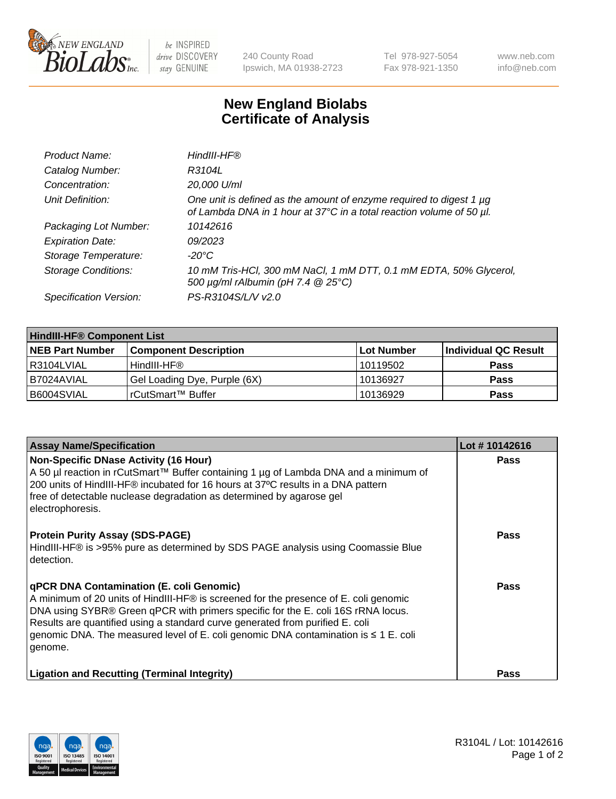

 $be$  INSPIRED drive DISCOVERY stay GENUINE

240 County Road Ipswich, MA 01938-2723 Tel 978-927-5054 Fax 978-921-1350 www.neb.com info@neb.com

## **New England Biolabs Certificate of Analysis**

| Product Name:              | HindIII-HF®                                                                                                                                 |
|----------------------------|---------------------------------------------------------------------------------------------------------------------------------------------|
| Catalog Number:            | R3104L                                                                                                                                      |
| Concentration:             | 20,000 U/ml                                                                                                                                 |
| Unit Definition:           | One unit is defined as the amount of enzyme required to digest 1 µg<br>of Lambda DNA in 1 hour at 37°C in a total reaction volume of 50 µl. |
| Packaging Lot Number:      | 10142616                                                                                                                                    |
| <b>Expiration Date:</b>    | 09/2023                                                                                                                                     |
| Storage Temperature:       | -20°C                                                                                                                                       |
| <b>Storage Conditions:</b> | 10 mM Tris-HCl, 300 mM NaCl, 1 mM DTT, 0.1 mM EDTA, 50% Glycerol,<br>500 μg/ml rAlbumin (pH 7.4 @ 25°C)                                     |
| Specification Version:     | PS-R3104S/L/V v2.0                                                                                                                          |

| <b>HindIII-HF® Component List</b> |                              |                   |                      |  |  |
|-----------------------------------|------------------------------|-------------------|----------------------|--|--|
| <b>NEB Part Number</b>            | <b>Component Description</b> | <b>Lot Number</b> | Individual QC Result |  |  |
| I R3104LVIAL                      | HindIII-HF®                  | 10119502          | <b>Pass</b>          |  |  |
| B7024AVIAL                        | Gel Loading Dye, Purple (6X) | 10136927          | <b>Pass</b>          |  |  |
| B6004SVIAL                        | l rCutSmart™ Buffer          | 10136929          | <b>Pass</b>          |  |  |

| <b>Assay Name/Specification</b>                                                                                                                                                                                                                                                                                                                                                                                     | Lot #10142616 |
|---------------------------------------------------------------------------------------------------------------------------------------------------------------------------------------------------------------------------------------------------------------------------------------------------------------------------------------------------------------------------------------------------------------------|---------------|
| <b>Non-Specific DNase Activity (16 Hour)</b><br>A 50 µl reaction in rCutSmart™ Buffer containing 1 µg of Lambda DNA and a minimum of<br>200 units of HindIII-HF® incubated for 16 hours at 37°C results in a DNA pattern<br>free of detectable nuclease degradation as determined by agarose gel<br>electrophoresis.                                                                                                | <b>Pass</b>   |
| <b>Protein Purity Assay (SDS-PAGE)</b><br>HindIII-HF® is >95% pure as determined by SDS PAGE analysis using Coomassie Blue<br>detection.                                                                                                                                                                                                                                                                            | Pass          |
| <b>qPCR DNA Contamination (E. coli Genomic)</b><br>A minimum of 20 units of HindIII-HF® is screened for the presence of E. coli genomic<br>DNA using SYBR® Green qPCR with primers specific for the E. coli 16S rRNA locus.<br>Results are quantified using a standard curve generated from purified E. coli<br>genomic DNA. The measured level of E. coli genomic DNA contamination is $\leq 1$ E. coli<br>genome. | <b>Pass</b>   |
| <b>Ligation and Recutting (Terminal Integrity)</b>                                                                                                                                                                                                                                                                                                                                                                  | Pass          |